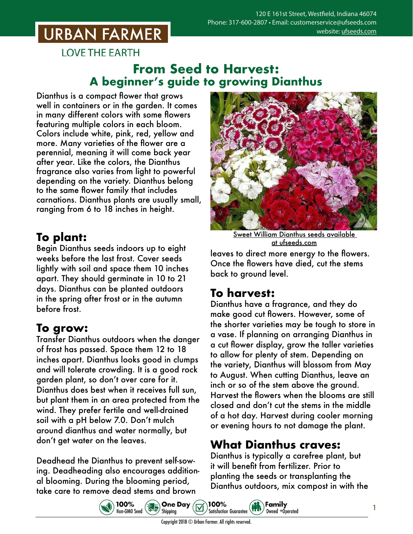# **URBAN FARMER**

**LOVE THE EARTH** 

#### **From Seed to Harvest: A beginner's guide to growing Dianthus**

Dianthus is a compact flower that grows well in containers or in the garden. It comes in many different colors with some flowers featuring multiple colors in each bloom. Colors include white, pink, red, yellow and more. Many varieties of the flower are a perennial, meaning it will come back year after year. Like the colors, the Dianthus fragrance also varies from light to powerful depending on the variety. Dianthus belong to the same flower family that includes carnations. Dianthus plants are usually small, ranging from 6 to 18 inches in height.

## **To plant:**

Begin Dianthus seeds indoors up to eight weeks before the last frost. Cover seeds lightly with soil and space them 10 inches apart. They should germinate in 10 to 21 days. Dianthus can be planted outdoors in the spring after frost or in the autumn before frost.

## **To grow:**

Transfer Dianthus outdoors when the danger of frost has passed. Space them 12 to 18 inches apart. Dianthus looks good in clumps and will tolerate crowding. It is a good rock garden plant, so don't over care for it. Dianthus does best when it receives full sun, but plant them in an area protected from the wind. They prefer fertile and well-drained soil with a pH below 7.0. Don't mulch around dianthus and water normally, but don't get water on the leaves.

Deadhead the Dianthus to prevent self-sowing. Deadheading also encourages additional blooming. During the blooming period, take care to remove dead stems and brown



Sweet William Dianthus seeds [available](https://www.ufseeds.com/product-category/flowers/dianthus/)  [at ufseeds.com](https://www.ufseeds.com/product-category/flowers/dianthus/)

leaves to direct more energy to the flowers. Once the flowers have died, cut the stems back to ground level.

## **To harvest:**

Dianthus have a fragrance, and they do make good cut flowers. However, some of the shorter varieties may be tough to store in a vase. If planning on arranging Dianthus in a cut flower display, grow the taller varieties to allow for plenty of stem. Depending on the variety, Dianthus will blossom from May to August. When cutting Dianthus, leave an inch or so of the stem above the ground. Harvest the flowers when the blooms are still closed and don't cut the stems in the middle of a hot day. Harvest during cooler morning or evening hours to not damage the plant.

#### **What Dianthus craves:**

Dianthus is typically a carefree plant, but it will benefit from fertilizer. Prior to planting the seeds or transplanting the Dianthus outdoors, mix compost in with the





1

Copyright 2018 © Urban Farmer. All rights reserved.

100%